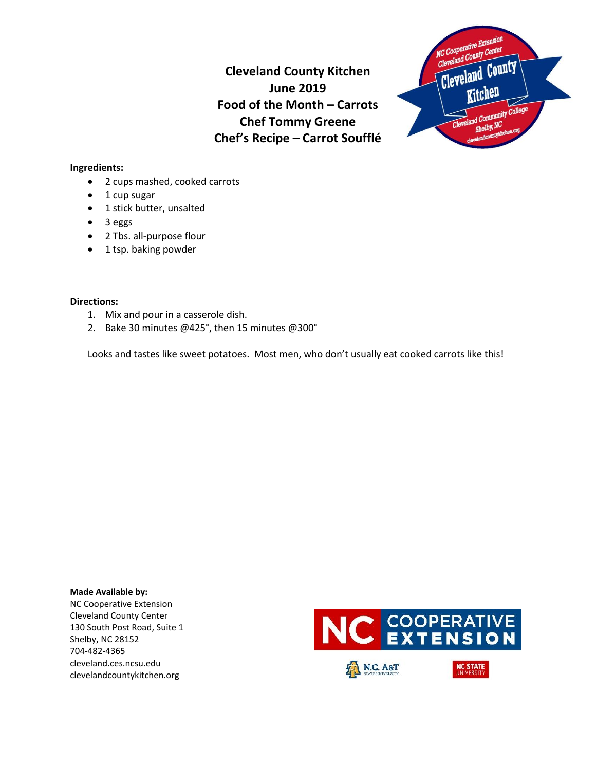**Cleveland County Kitchen June 2019 Food of the Month – Carrots Chef Tommy Greene Chef's Recipe – Carrot Soufflé**



## **Ingredients:**

- 2 cups mashed, cooked carrots
- 1 cup sugar
- 1 stick butter, unsalted
- 3 eggs
- 2 Tbs. all-purpose flour
- 1 tsp. baking powder

# **Directions:**

- 1. Mix and pour in a casserole dish.
- 2. Bake 30 minutes @425°, then 15 minutes @300°

Looks and tastes like sweet potatoes. Most men, who don't usually eat cooked carrots like this!

### **Made Available by:**  NC Cooperative Extension Cleveland County Center 130 South Post Road, Suite 1 Shelby, NC 28152 704-482-4365 cleveland.ces.ncsu.edu clevelandcountykitchen.org